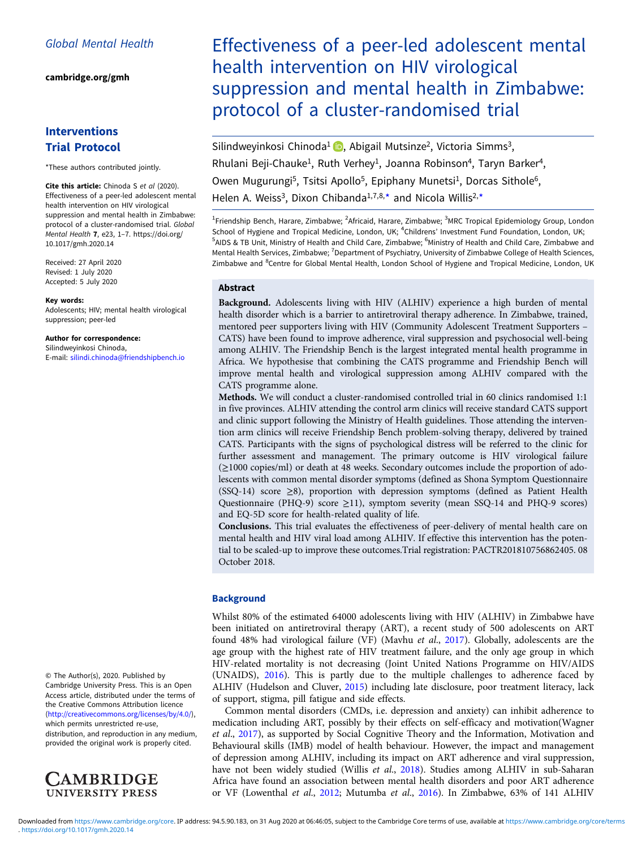[cambridge.org/gmh](https://www.cambridge.org/gmh)

# Interventions Trial Protocol

\*These authors contributed jointly.

Cite this article: Chinoda S et al (2020). Effectiveness of a peer-led adolescent mental health intervention on HIV virological suppression and mental health in Zimbabwe: protocol of a cluster-randomised trial. Global Mental Health 7, e23, 1–7. [https://doi.org/](https://doi.org/10.1017/gmh.2020.14) [10.1017/gmh.2020.14](https://doi.org/10.1017/gmh.2020.14)

Received: 27 April 2020 Revised: 1 July 2020 Accepted: 5 July 2020

#### Key words:

Adolescents; HIV; mental health virological suppression; peer-led

#### Author for correspondence:

Silindweyinkosi Chinoda, E-mail: [silindi.chinoda@friendshipbench.io](mailto:silindi.chinoda@friendshipbench.io)

© The Author(s), 2020. Published by Cambridge University Press. This is an Open Access article, distributed under the terms of the Creative Commons Attribution licence ([http://creativecommons.org/licenses/by/4.0/\)](http://creativecommons.org/licenses/by/4.0/),

which permits unrestricted re-use, distribution, and reproduction in any medium, provided the original work is properly cited.



# Effectiveness of a peer-led adolescent mental health intervention on HIV virological suppression and mental health in Zimbabwe: protocol of a cluster-randomised trial

Silindweyinkosi Chinoda<sup>1</sup> (b. Abigail Mutsinze<sup>2</sup>[,](https://orcid.org/0000-0002-2384-7082) Victoria Simms<sup>3</sup>, Rhulani Beji-Chauke<sup>1</sup>, Ruth Verhey<sup>1</sup>, Joanna Robinson<sup>4</sup>, Taryn Barker<sup>4</sup>, Owen Mugurungi<sup>5</sup>, Tsitsi Apollo<sup>5</sup>, Epiphany Munetsi<sup>1</sup>, Dorcas Sithole<sup>6</sup>, Helen A. Weiss<sup>3</sup>, Dixon Chibanda<sup>1,7,8,\*</sup> and Nicola Willis<sup>2,\*</sup>

<sup>1</sup> Friendship Bench, Harare, Zimbabwe; <sup>2</sup> Africaid, Harare, Zimbabwe; <sup>3</sup> MRC Tropical Epidemiology Group, London School of Hygiene and Tropical Medicine, London, UK; <sup>4</sup>Childrens' Investment Fund Foundation, London, UK; <sup>5</sup>AIDS & TB Unit, Ministry of Health and Child Care, Zimbabwe; <sup>6</sup>Ministry of Health and Child Care, Zimbabwe and Mental Health Services, Zimbabwe; <sup>7</sup>Department of Psychiatry, University of Zimbabwe College of Health Sciences, Zimbabwe and <sup>8</sup>Centre for Global Mental Health, London School of Hygiene and Tropical Medicine, London, UK

#### Abstract

Background. Adolescents living with HIV (ALHIV) experience a high burden of mental health disorder which is a barrier to antiretroviral therapy adherence. In Zimbabwe, trained, mentored peer supporters living with HIV (Community Adolescent Treatment Supporters – CATS) have been found to improve adherence, viral suppression and psychosocial well-being among ALHIV. The Friendship Bench is the largest integrated mental health programme in Africa. We hypothesise that combining the CATS programme and Friendship Bench will improve mental health and virological suppression among ALHIV compared with the CATS programme alone.

Methods. We will conduct a cluster-randomised controlled trial in 60 clinics randomised 1:1 in five provinces. ALHIV attending the control arm clinics will receive standard CATS support and clinic support following the Ministry of Health guidelines. Those attending the intervention arm clinics will receive Friendship Bench problem-solving therapy, delivered by trained CATS. Participants with the signs of psychological distress will be referred to the clinic for further assessment and management. The primary outcome is HIV virological failure (≥1000 copies/ml) or death at 48 weeks. Secondary outcomes include the proportion of adolescents with common mental disorder symptoms (defined as Shona Symptom Questionnaire (SSQ-14) score ≥8), proportion with depression symptoms (defined as Patient Health Questionnaire (PHQ-9) score  $\geq$ 11), symptom severity (mean SSQ-14 and PHQ-9 scores) and EQ-5D score for health-related quality of life.

Conclusions. This trial evaluates the effectiveness of peer-delivery of mental health care on mental health and HIV viral load among ALHIV. If effective this intervention has the potential to be scaled-up to improve these outcomes.Trial registration: PACTR201810756862405. 08 October 2018.

# **Background**

Whilst 80% of the estimated 64000 adolescents living with HIV (ALHIV) in Zimbabwe have been initiated on antiretroviral therapy (ART), a recent study of 500 adolescents on ART found 48% had virological failure (VF) (Mavhu et al., [2017](#page-5-0)). Globally, adolescents are the age group with the highest rate of HIV treatment failure, and the only age group in which HIV-related mortality is not decreasing (Joint United Nations Programme on HIV/AIDS (UNAIDS), [2016](#page-5-0)). This is partly due to the multiple challenges to adherence faced by ALHIV (Hudelson and Cluver, [2015\)](#page-5-0) including late disclosure, poor treatment literacy, lack of support, stigma, pill fatigue and side effects.

Common mental disorders (CMDs, i.e. depression and anxiety) can inhibit adherence to medication including ART, possibly by their effects on self-efficacy and motivation(Wagner et al., [2017](#page-6-0)), as supported by Social Cognitive Theory and the Information, Motivation and Behavioural skills (IMB) model of health behaviour. However, the impact and management of depression among ALHIV, including its impact on ART adherence and viral suppression, have not been widely studied (Willis et al., [2018\)](#page-6-0). Studies among ALHIV in sub-Saharan Africa have found an association between mental health disorders and poor ART adherence or VF (Lowenthal et al., [2012](#page-5-0); Mutumba et al., [2016\)](#page-6-0). In Zimbabwe, 63% of 141 ALHIV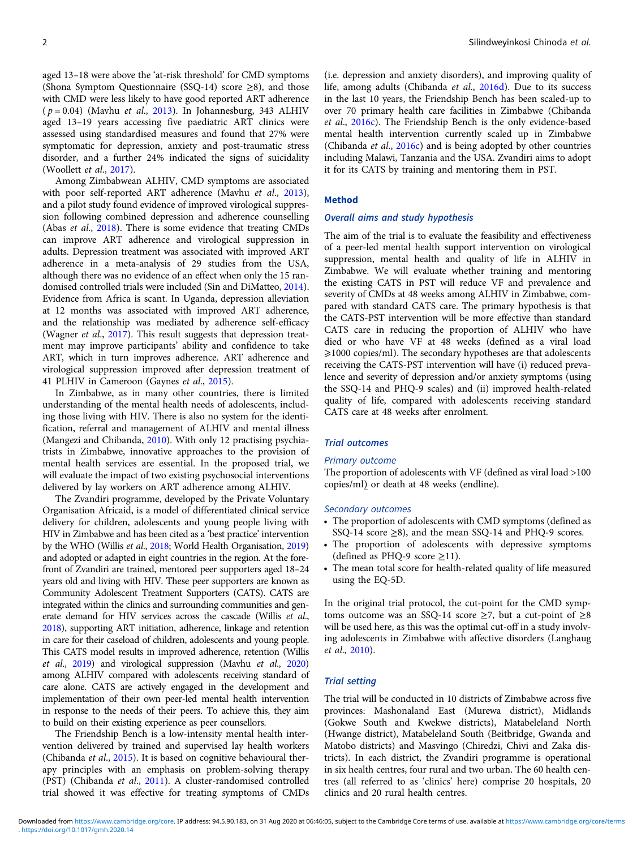aged 13–18 were above the 'at-risk threshold' for CMD symptoms (Shona Symptom Questionnaire (SSQ-14) score  $\geq$ 8), and those with CMD were less likely to have good reported ART adherence  $(p = 0.04)$  (Mayhu et al., [2013](#page-5-0)). In Johannesburg, 343 ALHIV aged 13–19 years accessing five paediatric ART clinics were assessed using standardised measures and found that 27% were symptomatic for depression, anxiety and post-traumatic stress disorder, and a further 24% indicated the signs of suicidality (Woollett et al., [2017](#page-6-0)).

Among Zimbabwean ALHIV, CMD symptoms are associated with poor self-reported ART adherence (Mavhu et al., [2013\)](#page-5-0), and a pilot study found evidence of improved virological suppression following combined depression and adherence counselling (Abas et al., [2018\)](#page-5-0). There is some evidence that treating CMDs can improve ART adherence and virological suppression in adults. Depression treatment was associated with improved ART adherence in a meta-analysis of 29 studies from the USA, although there was no evidence of an effect when only the 15 randomised controlled trials were included (Sin and DiMatteo, [2014\)](#page-6-0). Evidence from Africa is scant. In Uganda, depression alleviation at 12 months was associated with improved ART adherence, and the relationship was mediated by adherence self-efficacy (Wagner *et al.*, [2017](#page-6-0)). This result suggests that depression treatment may improve participants' ability and confidence to take ART, which in turn improves adherence. ART adherence and virological suppression improved after depression treatment of 41 PLHIV in Cameroon (Gavnes et al., [2015\)](#page-5-0).

In Zimbabwe, as in many other countries, there is limited understanding of the mental health needs of adolescents, including those living with HIV. There is also no system for the identification, referral and management of ALHIV and mental illness (Mangezi and Chibanda, [2010\)](#page-5-0). With only 12 practising psychiatrists in Zimbabwe, innovative approaches to the provision of mental health services are essential. In the proposed trial, we will evaluate the impact of two existing psychosocial interventions delivered by lay workers on ART adherence among ALHIV.

The Zvandiri programme, developed by the Private Voluntary Organisation Africaid, is a model of differentiated clinical service delivery for children, adolescents and young people living with HIV in Zimbabwe and has been cited as a 'best practice' intervention by the WHO (Willis et al., [2018;](#page-6-0) World Health Organisation, [2019\)](#page-6-0) and adopted or adapted in eight countries in the region. At the forefront of Zvandiri are trained, mentored peer supporters aged 18–24 years old and living with HIV. These peer supporters are known as Community Adolescent Treatment Supporters (CATS). CATS are integrated within the clinics and surrounding communities and generate demand for HIV services across the cascade (Willis et al., [2018](#page-6-0)), supporting ART initiation, adherence, linkage and retention in care for their caseload of children, adolescents and young people. This CATS model results in improved adherence, retention (Willis et al., [2019](#page-6-0)) and virological suppression (Mavhu et al., [2020\)](#page-5-0) among ALHIV compared with adolescents receiving standard of care alone. CATS are actively engaged in the development and implementation of their own peer-led mental health intervention in response to the needs of their peers. To achieve this, they aim to build on their existing experience as peer counsellors.

The Friendship Bench is a low-intensity mental health intervention delivered by trained and supervised lay health workers (Chibanda et al., [2015](#page-5-0)). It is based on cognitive behavioural therapy principles with an emphasis on problem-solving therapy (PST) (Chibanda et al., [2011\)](#page-5-0). A cluster-randomised controlled trial showed it was effective for treating symptoms of CMDs

(i.e. depression and anxiety disorders), and improving quality of life, among adults (Chibanda et al., [2016d\)](#page-5-0). Due to its success in the last 10 years, the Friendship Bench has been scaled-up to over 70 primary health care facilities in Zimbabwe (Chibanda et al., [2016c\)](#page-5-0). The Friendship Bench is the only evidence-based mental health intervention currently scaled up in Zimbabwe (Chibanda et al., [2016c\)](#page-5-0) and is being adopted by other countries including Malawi, Tanzania and the USA. Zvandiri aims to adopt it for its CATS by training and mentoring them in PST.

#### Method

## Overall aims and study hypothesis

The aim of the trial is to evaluate the feasibility and effectiveness of a peer-led mental health support intervention on virological suppression, mental health and quality of life in ALHIV in Zimbabwe. We will evaluate whether training and mentoring the existing CATS in PST will reduce VF and prevalence and severity of CMDs at 48 weeks among ALHIV in Zimbabwe, compared with standard CATS care. The primary hypothesis is that the CATS-PST intervention will be more effective than standard CATS care in reducing the proportion of ALHIV who have died or who have VF at 48 weeks (defined as a viral load ⩾1000 copies/ml). The secondary hypotheses are that adolescents receiving the CATS-PST intervention will have (i) reduced prevalence and severity of depression and/or anxiety symptoms (using the SSQ-14 and PHQ-9 scales) and (ii) improved health-related quality of life, compared with adolescents receiving standard CATS care at 48 weeks after enrolment.

#### Trial outcomes

#### Primary outcome

The proportion of adolescents with VF (defined as viral load >100 copies/ml) or death at 48 weeks (endline).

#### Secondary outcomes

- The proportion of adolescents with CMD symptoms (defined as SSQ-14 score ≥8), and the mean SSQ-14 and PHQ-9 scores.
- The proportion of adolescents with depressive symptoms (defined as PHQ-9 score  $\geq$ 11).
- The mean total score for health-related quality of life measured using the EQ-5D.

In the original trial protocol, the cut-point for the CMD symptoms outcome was an SSQ-14 score  $\geq$ 7, but a cut-point of  $\geq$ 8 will be used here, as this was the optimal cut-off in a study involving adolescents in Zimbabwe with affective disorders (Langhaug et al., [2010\)](#page-5-0).

#### Trial setting

The trial will be conducted in 10 districts of Zimbabwe across five provinces: Mashonaland East (Murewa district), Midlands (Gokwe South and Kwekwe districts), Matabeleland North (Hwange district), Matabeleland South (Beitbridge, Gwanda and Matobo districts) and Masvingo (Chiredzi, Chivi and Zaka districts). In each district, the Zvandiri programme is operational in six health centres, four rural and two urban. The 60 health centres (all referred to as 'clinics' here) comprise 20 hospitals, 20 clinics and 20 rural health centres.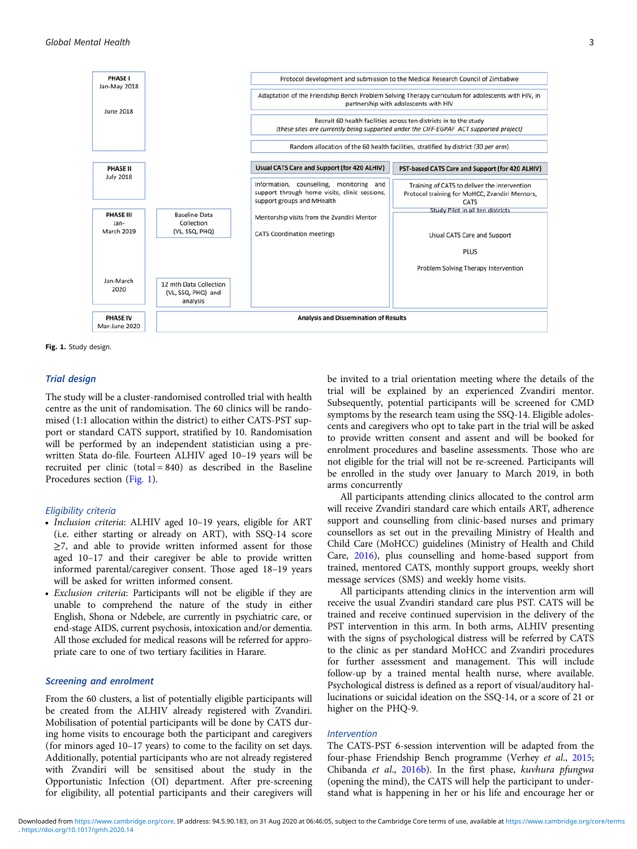

Fig. 1. Study design.

# Trial design

The study will be a cluster-randomised controlled trial with health centre as the unit of randomisation. The 60 clinics will be randomised (1:1 allocation within the district) to either CATS-PST support or standard CATS support, stratified by 10. Randomisation will be performed by an independent statistician using a prewritten Stata do-file. Fourteen ALHIV aged 10–19 years will be recruited per clinic (total = 840) as described in the Baseline Procedures section (Fig. 1).

# Eligibility criteria

- Inclusion criteria: ALHIV aged 10–19 years, eligible for ART (i.e. either starting or already on ART), with SSQ-14 score ≥7, and able to provide written informed assent for those aged 10–17 and their caregiver be able to provide written informed parental/caregiver consent. Those aged 18–19 years will be asked for written informed consent.
- Exclusion criteria: Participants will not be eligible if they are unable to comprehend the nature of the study in either English, Shona or Ndebele, are currently in psychiatric care, or end-stage AIDS, current psychosis, intoxication and/or dementia. All those excluded for medical reasons will be referred for appropriate care to one of two tertiary facilities in Harare.

#### Screening and enrolment

From the 60 clusters, a list of potentially eligible participants will be created from the ALHIV already registered with Zvandiri. Mobilisation of potential participants will be done by CATS during home visits to encourage both the participant and caregivers (for minors aged 10–17 years) to come to the facility on set days. Additionally, potential participants who are not already registered with Zvandiri will be sensitised about the study in the Opportunistic Infection (OI) department. After pre-screening for eligibility, all potential participants and their caregivers will

be invited to a trial orientation meeting where the details of the trial will be explained by an experienced Zvandiri mentor. Subsequently, potential participants will be screened for CMD symptoms by the research team using the SSQ-14. Eligible adolescents and caregivers who opt to take part in the trial will be asked to provide written consent and assent and will be booked for enrolment procedures and baseline assessments. Those who are not eligible for the trial will not be re-screened. Participants will be enrolled in the study over January to March 2019, in both arms concurrently

All participants attending clinics allocated to the control arm will receive Zvandiri standard care which entails ART, adherence support and counselling from clinic-based nurses and primary counsellors as set out in the prevailing Ministry of Health and Child Care (MoHCC) guidelines (Ministry of Health and Child Care, [2016\)](#page-6-0), plus counselling and home-based support from trained, mentored CATS, monthly support groups, weekly short message services (SMS) and weekly home visits.

All participants attending clinics in the intervention arm will receive the usual Zvandiri standard care plus PST. CATS will be trained and receive continued supervision in the delivery of the PST intervention in this arm. In both arms, ALHIV presenting with the signs of psychological distress will be referred by CATS to the clinic as per standard MoHCC and Zvandiri procedures for further assessment and management. This will include follow-up by a trained mental health nurse, where available. Psychological distress is defined as a report of visual/auditory hallucinations or suicidal ideation on the SSQ-14, or a score of 21 or higher on the PHQ-9.

#### Intervention

The CATS-PST 6-session intervention will be adapted from the four-phase Friendship Bench programme (Verhey et al., [2015](#page-6-0); Chibanda et al., [2016b\)](#page-5-0). In the first phase, kuvhura pfungwa (opening the mind), the CATS will help the participant to understand what is happening in her or his life and encourage her or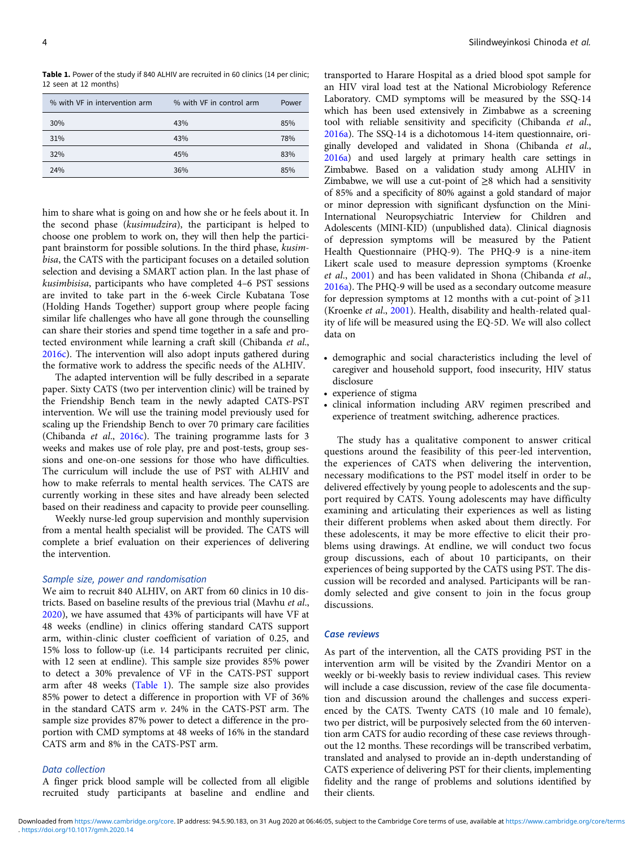Table 1. Power of the study if 840 ALHIV are recruited in 60 clinics (14 per clinic; 12 seen at 12 months)

| % with VF in intervention arm | % with VF in control arm | Power |
|-------------------------------|--------------------------|-------|
| 30%                           | 43%                      | 85%   |
| 31%                           | 43%                      | 78%   |
| 32%                           | 45%                      | 83%   |
| 24%                           | 36%                      | 85%   |

him to share what is going on and how she or he feels about it. In the second phase (kusimudzira), the participant is helped to choose one problem to work on, they will then help the participant brainstorm for possible solutions. In the third phase, kusimbisa, the CATS with the participant focuses on a detailed solution selection and devising a SMART action plan. In the last phase of kusimbisisa, participants who have completed 4–6 PST sessions are invited to take part in the 6-week Circle Kubatana Tose (Holding Hands Together) support group where people facing similar life challenges who have all gone through the counselling can share their stories and spend time together in a safe and protected environment while learning a craft skill (Chibanda et al., [2016c\)](#page-5-0). The intervention will also adopt inputs gathered during the formative work to address the specific needs of the ALHIV.

The adapted intervention will be fully described in a separate paper. Sixty CATS (two per intervention clinic) will be trained by the Friendship Bench team in the newly adapted CATS-PST intervention. We will use the training model previously used for scaling up the Friendship Bench to over 70 primary care facilities (Chibanda et al., [2016c](#page-5-0)). The training programme lasts for 3 weeks and makes use of role play, pre and post-tests, group sessions and one-on-one sessions for those who have difficulties. The curriculum will include the use of PST with ALHIV and how to make referrals to mental health services. The CATS are currently working in these sites and have already been selected based on their readiness and capacity to provide peer counselling.

Weekly nurse-led group supervision and monthly supervision from a mental health specialist will be provided. The CATS will complete a brief evaluation on their experiences of delivering the intervention.

#### Sample size, power and randomisation

We aim to recruit 840 ALHIV, on ART from 60 clinics in 10 districts. Based on baseline results of the previous trial (Mavhu et al., [2020\)](#page-5-0), we have assumed that 43% of participants will have VF at 48 weeks (endline) in clinics offering standard CATS support arm, within-clinic cluster coefficient of variation of 0.25, and 15% loss to follow-up (i.e. 14 participants recruited per clinic, with 12 seen at endline). This sample size provides 85% power to detect a 30% prevalence of VF in the CATS-PST support arm after 48 weeks (Table 1). The sample size also provides 85% power to detect a difference in proportion with VF of 36% in the standard CATS arm  $v$ . 24% in the CATS-PST arm. The sample size provides 87% power to detect a difference in the proportion with CMD symptoms at 48 weeks of 16% in the standard CATS arm and 8% in the CATS-PST arm.

#### Data collection

A finger prick blood sample will be collected from all eligible recruited study participants at baseline and endline and transported to Harare Hospital as a dried blood spot sample for an HIV viral load test at the National Microbiology Reference Laboratory. CMD symptoms will be measured by the SSQ-14 which has been used extensively in Zimbabwe as a screening tool with reliable sensitivity and specificity (Chibanda et al., [2016a\)](#page-5-0). The SSQ-14 is a dichotomous 14-item questionnaire, originally developed and validated in Shona (Chibanda et al., [2016a](#page-5-0)) and used largely at primary health care settings in Zimbabwe. Based on a validation study among ALHIV in Zimbabwe, we will use a cut-point of ≥8 which had a sensitivity of 85% and a specificity of 80% against a gold standard of major or minor depression with significant dysfunction on the Mini-International Neuropsychiatric Interview for Children and Adolescents (MINI-KID) (unpublished data). Clinical diagnosis of depression symptoms will be measured by the Patient Health Questionnaire (PHQ-9). The PHQ-9 is a nine-item Likert scale used to measure depression symptoms (Kroenke et al., [2001\)](#page-5-0) and has been validated in Shona (Chibanda et al., [2016a\)](#page-5-0). The PHQ-9 will be used as a secondary outcome measure for depression symptoms at 12 months with a cut-point of  $\geq 11$ (Kroenke et al., [2001\)](#page-5-0). Health, disability and health-related quality of life will be measured using the EQ-5D. We will also collect data on

- demographic and social characteristics including the level of caregiver and household support, food insecurity, HIV status disclosure
- experience of stigma
- clinical information including ARV regimen prescribed and experience of treatment switching, adherence practices.

The study has a qualitative component to answer critical questions around the feasibility of this peer-led intervention, the experiences of CATS when delivering the intervention, necessary modifications to the PST model itself in order to be delivered effectively by young people to adolescents and the support required by CATS. Young adolescents may have difficulty examining and articulating their experiences as well as listing their different problems when asked about them directly. For these adolescents, it may be more effective to elicit their problems using drawings. At endline, we will conduct two focus group discussions, each of about 10 participants, on their experiences of being supported by the CATS using PST. The discussion will be recorded and analysed. Participants will be randomly selected and give consent to join in the focus group discussions.

# Case reviews

As part of the intervention, all the CATS providing PST in the intervention arm will be visited by the Zvandiri Mentor on a weekly or bi-weekly basis to review individual cases. This review will include a case discussion, review of the case file documentation and discussion around the challenges and success experienced by the CATS. Twenty CATS (10 male and 10 female), two per district, will be purposively selected from the 60 intervention arm CATS for audio recording of these case reviews throughout the 12 months. These recordings will be transcribed verbatim, translated and analysed to provide an in-depth understanding of CATS experience of delivering PST for their clients, implementing fidelity and the range of problems and solutions identified by their clients.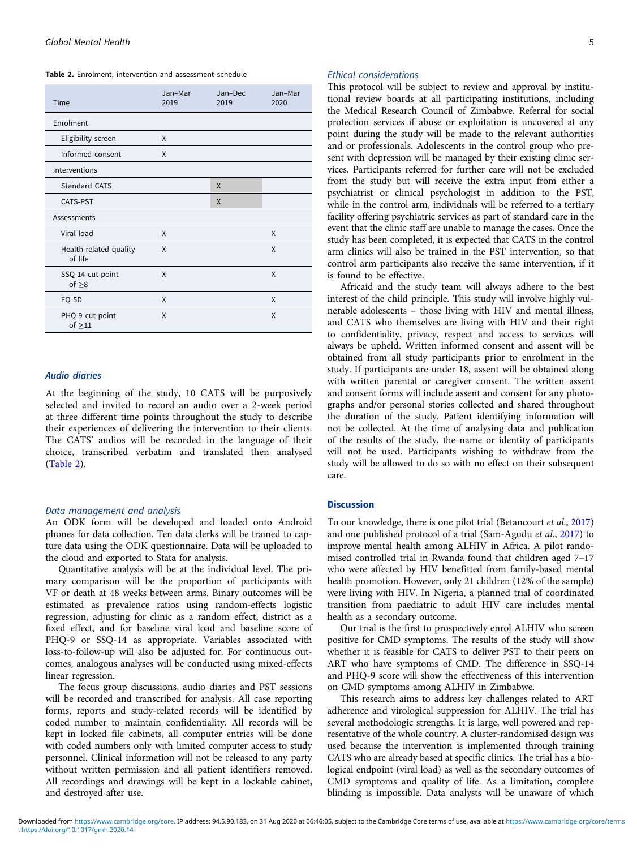Table 2. Enrolment, intervention and assessment schedule

| Time                              | Jan-Mar<br>2019 | Jan-Dec<br>2019 | Jan-Mar<br>2020 |
|-----------------------------------|-----------------|-----------------|-----------------|
| Enrolment                         |                 |                 |                 |
| Eligibility screen                | X               |                 |                 |
| Informed consent                  | X               |                 |                 |
| Interventions                     |                 |                 |                 |
| <b>Standard CATS</b>              |                 | $\mathsf{x}$    |                 |
| CATS-PST                          |                 | X               |                 |
| Assessments                       |                 |                 |                 |
| Viral load                        | X               |                 | X               |
| Health-related quality<br>of life | X               |                 | X               |
| SSQ-14 cut-point<br>of $\geq 8$   | X               |                 | X               |
| EQ 5D                             | X               |                 | X               |
| PHQ-9 cut-point<br>of $\geq$ 11   | X               |                 | X               |

#### Audio diaries

At the beginning of the study, 10 CATS will be purposively selected and invited to record an audio over a 2-week period at three different time points throughout the study to describe their experiences of delivering the intervention to their clients. The CATS' audios will be recorded in the language of their choice, transcribed verbatim and translated then analysed (Table 2).

### Data management and analysis

An ODK form will be developed and loaded onto Android phones for data collection. Ten data clerks will be trained to capture data using the ODK questionnaire. Data will be uploaded to the cloud and exported to Stata for analysis.

Quantitative analysis will be at the individual level. The primary comparison will be the proportion of participants with VF or death at 48 weeks between arms. Binary outcomes will be estimated as prevalence ratios using random-effects logistic regression, adjusting for clinic as a random effect, district as a fixed effect, and for baseline viral load and baseline score of PHQ-9 or SSQ-14 as appropriate. Variables associated with loss-to-follow-up will also be adjusted for. For continuous outcomes, analogous analyses will be conducted using mixed-effects linear regression.

The focus group discussions, audio diaries and PST sessions will be recorded and transcribed for analysis. All case reporting forms, reports and study-related records will be identified by coded number to maintain confidentiality. All records will be kept in locked file cabinets, all computer entries will be done with coded numbers only with limited computer access to study personnel. Clinical information will not be released to any party without written permission and all patient identifiers removed. All recordings and drawings will be kept in a lockable cabinet, and destroyed after use.

#### Ethical considerations

This protocol will be subject to review and approval by institutional review boards at all participating institutions, including the Medical Research Council of Zimbabwe. Referral for social protection services if abuse or exploitation is uncovered at any point during the study will be made to the relevant authorities and or professionals. Adolescents in the control group who present with depression will be managed by their existing clinic services. Participants referred for further care will not be excluded from the study but will receive the extra input from either a psychiatrist or clinical psychologist in addition to the PST, while in the control arm, individuals will be referred to a tertiary facility offering psychiatric services as part of standard care in the event that the clinic staff are unable to manage the cases. Once the study has been completed, it is expected that CATS in the control arm clinics will also be trained in the PST intervention, so that control arm participants also receive the same intervention, if it is found to be effective.

Africaid and the study team will always adhere to the best interest of the child principle. This study will involve highly vulnerable adolescents – those living with HIV and mental illness, and CATS who themselves are living with HIV and their right to confidentiality, privacy, respect and access to services will always be upheld. Written informed consent and assent will be obtained from all study participants prior to enrolment in the study. If participants are under 18, assent will be obtained along with written parental or caregiver consent. The written assent and consent forms will include assent and consent for any photographs and/or personal stories collected and shared throughout the duration of the study. Patient identifying information will not be collected. At the time of analysing data and publication of the results of the study, the name or identity of participants will not be used. Participants wishing to withdraw from the study will be allowed to do so with no effect on their subsequent care.

# Discussion

To our knowledge, there is one pilot trial (Betancourt et al., [2017](#page-5-0)) and one published protocol of a trial (Sam-Agudu et al., [2017\)](#page-6-0) to improve mental health among ALHIV in Africa. A pilot randomised controlled trial in Rwanda found that children aged 7–17 who were affected by HIV benefitted from family-based mental health promotion. However, only 21 children (12% of the sample) were living with HIV. In Nigeria, a planned trial of coordinated transition from paediatric to adult HIV care includes mental health as a secondary outcome.

Our trial is the first to prospectively enrol ALHIV who screen positive for CMD symptoms. The results of the study will show whether it is feasible for CATS to deliver PST to their peers on ART who have symptoms of CMD. The difference in SSQ-14 and PHQ-9 score will show the effectiveness of this intervention on CMD symptoms among ALHIV in Zimbabwe.

This research aims to address key challenges related to ART adherence and virological suppression for ALHIV. The trial has several methodologic strengths. It is large, well powered and representative of the whole country. A cluster-randomised design was used because the intervention is implemented through training CATS who are already based at specific clinics. The trial has a biological endpoint (viral load) as well as the secondary outcomes of CMD symptoms and quality of life. As a limitation, complete blinding is impossible. Data analysts will be unaware of which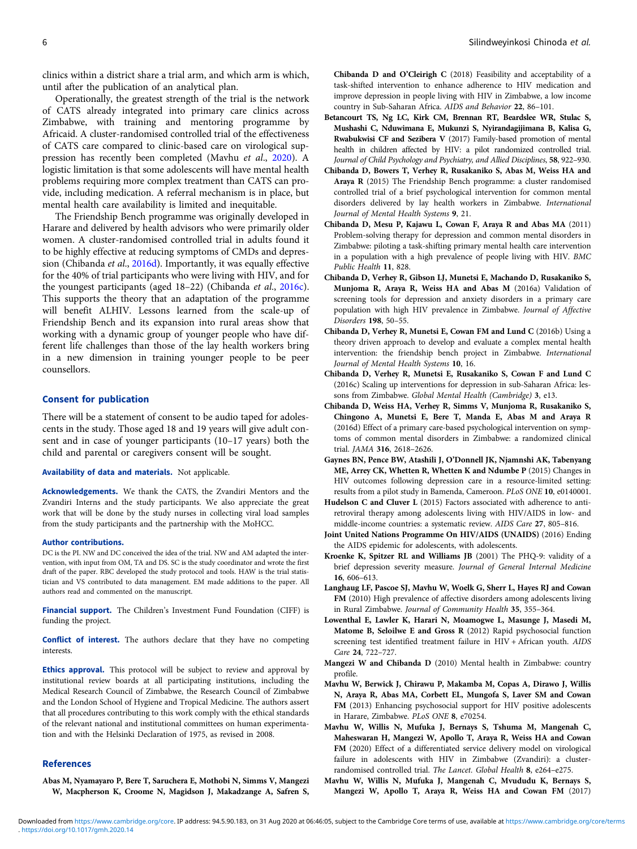<span id="page-5-0"></span>clinics within a district share a trial arm, and which arm is which, until after the publication of an analytical plan.

Operationally, the greatest strength of the trial is the network of CATS already integrated into primary care clinics across Zimbabwe, with training and mentoring programme by Africaid. A cluster-randomised controlled trial of the effectiveness of CATS care compared to clinic-based care on virological suppression has recently been completed (Mavhu et al., 2020). A logistic limitation is that some adolescents will have mental health problems requiring more complex treatment than CATS can provide, including medication. A referral mechanism is in place, but mental health care availability is limited and inequitable.

The Friendship Bench programme was originally developed in Harare and delivered by health advisors who were primarily older women. A cluster-randomised controlled trial in adults found it to be highly effective at reducing symptoms of CMDs and depression (Chibanda et al., 2016d). Importantly, it was equally effective for the 40% of trial participants who were living with HIV, and for the youngest participants (aged 18–22) (Chibanda et al., 2016c). This supports the theory that an adaptation of the programme will benefit ALHIV. Lessons learned from the scale-up of Friendship Bench and its expansion into rural areas show that working with a dynamic group of younger people who have different life challenges than those of the lay health workers bring in a new dimension in training younger people to be peer counsellors.

# Consent for publication

There will be a statement of consent to be audio taped for adolescents in the study. Those aged 18 and 19 years will give adult consent and in case of younger participants (10–17 years) both the child and parental or caregivers consent will be sought.

Availability of data and materials. Not applicable.

Acknowledgements. We thank the CATS, the Zvandiri Mentors and the Zvandiri Interns and the study participants. We also appreciate the great work that will be done by the study nurses in collecting viral load samples from the study participants and the partnership with the MoHCC.

#### Author contributions.

DC is the PI. NW and DC conceived the idea of the trial. NW and AM adapted the intervention, with input from OM, TA and DS. SC is the study coordinator and wrote the first draft of the paper. RBC developed the study protocol and tools. HAW is the trial statistician and VS contributed to data management. EM made additions to the paper. All authors read and commented on the manuscript.

Financial support. The Children's Investment Fund Foundation (CIFF) is funding the project.

Conflict of interest. The authors declare that they have no competing interests.

Ethics approval. This protocol will be subject to review and approval by institutional review boards at all participating institutions, including the Medical Research Council of Zimbabwe, the Research Council of Zimbabwe and the London School of Hygiene and Tropical Medicine. The authors assert that all procedures contributing to this work comply with the ethical standards of the relevant national and institutional committees on human experimentation and with the Helsinki Declaration of 1975, as revised in 2008.

# References

Abas M, Nyamayaro P, Bere T, Saruchera E, Mothobi N, Simms V, Mangezi W, Macpherson K, Croome N, Magidson J, Makadzange A, Safren S, Chibanda D and O'Cleirigh C (2018) Feasibility and acceptability of a task-shifted intervention to enhance adherence to HIV medication and improve depression in people living with HIV in Zimbabwe, a low income country in Sub-Saharan Africa. AIDS and Behavior 22, 86–101.

- Betancourt TS, Ng LC, Kirk CM, Brennan RT, Beardslee WR, Stulac S, Mushashi C, Nduwimana E, Mukunzi S, Nyirandagijimana B, Kalisa G, Rwabukwisi CF and Sezibera V (2017) Family-based promotion of mental health in children affected by HIV: a pilot randomized controlled trial. Journal of Child Psychology and Psychiatry, and Allied Disciplines, 58, 922–930.
- Chibanda D, Bowers T, Verhey R, Rusakaniko S, Abas M, Weiss HA and Araya R (2015) The Friendship Bench programme: a cluster randomised controlled trial of a brief psychological intervention for common mental disorders delivered by lay health workers in Zimbabwe. International Journal of Mental Health Systems 9, 21.
- Chibanda D, Mesu P, Kajawu L, Cowan F, Araya R and Abas MA (2011) Problem-solving therapy for depression and common mental disorders in Zimbabwe: piloting a task-shifting primary mental health care intervention in a population with a high prevalence of people living with HIV. BMC Public Health 11, 828.
- Chibanda D, Verhey R, Gibson LJ, Munetsi E, Machando D, Rusakaniko S, Munjoma R, Araya R, Weiss HA and Abas M (2016a) Validation of screening tools for depression and anxiety disorders in a primary care population with high HIV prevalence in Zimbabwe. Journal of Affective Disorders 198, 50–55.
- Chibanda D, Verhey R, Munetsi E, Cowan FM and Lund C (2016b) Using a theory driven approach to develop and evaluate a complex mental health intervention: the friendship bench project in Zimbabwe. International Journal of Mental Health Systems 10, 16.
- Chibanda D, Verhey R, Munetsi E, Rusakaniko S, Cowan F and Lund C (2016c) Scaling up interventions for depression in sub-Saharan Africa: lessons from Zimbabwe. Global Mental Health (Cambridge) 3, e13.
- Chibanda D, Weiss HA, Verhey R, Simms V, Munjoma R, Rusakaniko S, Chingono A, Munetsi E, Bere T, Manda E, Abas M and Araya R (2016d) Effect of a primary care-based psychological intervention on symptoms of common mental disorders in Zimbabwe: a randomized clinical trial. JAMA 316, 2618–2626.
- Gaynes BN, Pence BW, Atashili J, O'Donnell JK, Njamnshi AK, Tabenyang ME, Arrey CK, Whetten R, Whetten K and Ndumbe P (2015) Changes in HIV outcomes following depression care in a resource-limited setting: results from a pilot study in Bamenda, Cameroon. PLoS ONE 10, e0140001.
- Hudelson C and Cluver L (2015) Factors associated with adherence to antiretroviral therapy among adolescents living with HIV/AIDS in low- and middle-income countries: a systematic review. AIDS Care 27, 805–816.
- Joint United Nations Programme On HIV/AIDS (UNAIDS) (2016) Ending the AIDS epidemic for adolescents, with adolescents.
- Kroenke K, Spitzer RL and Williams JB (2001) The PHQ-9: validity of a brief depression severity measure. Journal of General Internal Medicine 16, 606–613.
- Langhaug LF, Pascoe SJ, Mavhu W, Woelk G, Sherr L, Hayes RJ and Cowan FM (2010) High prevalence of affective disorders among adolescents living in Rural Zimbabwe. Journal of Community Health 35, 355–364.
- Lowenthal E, Lawler K, Harari N, Moamogwe L, Masunge J, Masedi M, Matome B, Seloilwe E and Gross R (2012) Rapid psychosocial function screening test identified treatment failure in HIV + African youth. AIDS Care 24, 722–727.
- Mangezi W and Chibanda D (2010) Mental health in Zimbabwe: country profile.
- Mavhu W, Berwick J, Chirawu P, Makamba M, Copas A, Dirawo J, Willis N, Araya R, Abas MA, Corbett EL, Mungofa S, Laver SM and Cowan FM (2013) Enhancing psychosocial support for HIV positive adolescents in Harare, Zimbabwe. PLoS ONE 8, e70254.
- Mavhu W, Willis N, Mufuka J, Bernays S, Tshuma M, Mangenah C, Maheswaran H, Mangezi W, Apollo T, Araya R, Weiss HA and Cowan FM (2020) Effect of a differentiated service delivery model on virological failure in adolescents with HIV in Zimbabwe (Zvandiri): a clusterrandomised controlled trial. The Lancet. Global Health 8, e264–e275.
- Mavhu W, Willis N, Mufuka J, Mangenah C, Mvududu K, Bernays S, Mangezi W, Apollo T, Araya R, Weiss HA and Cowan FM (2017)